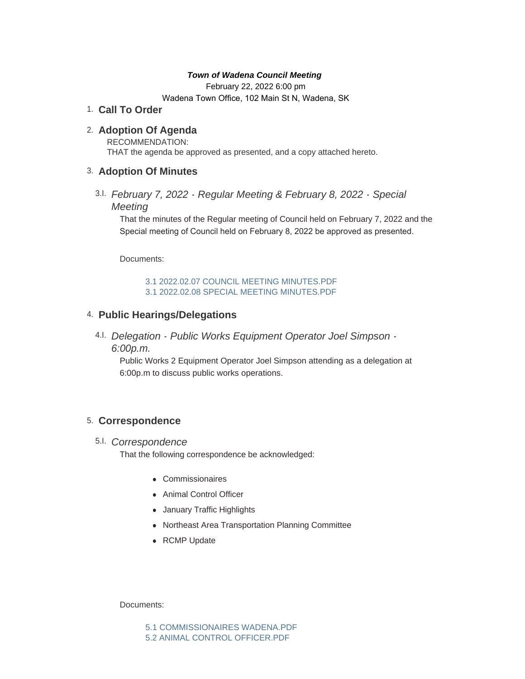## *Town of Wadena Council Meeting*

February 22, 2022 6:00 pm

Wadena Town Office, 102 Main St N, Wadena, SK

**Call To Order** 1.

## **Adoption Of Agenda** 2.

RECOMMENDATION: THAT the agenda be approved as presented, and a copy attached hereto.

## **Adoption Of Minutes** 3.

*February 7, 2022 - Regular Meeting & February 8, 2022 - Special*  3.I. *Meeting*

That the minutes of the Regular meeting of Council held on February 7, 2022 and the Special meeting of Council held on February 8, 2022 be approved as presented.

Documents:

[3.1 2022.02.07 COUNCIL MEETING MINUTES.PDF](http://townofwadena.com/AgendaCenter/ViewFile/Item/3368?fileID=4059) [3.1 2022.02.08 SPECIAL MEETING MINUTES.PDF](http://townofwadena.com/AgendaCenter/ViewFile/Item/3368?fileID=4060)

# **Public Hearings/Delegations** 4.

*Delegation - Public Works Equipment Operator Joel Simpson -* 4.I. *6:00p.m.*

Public Works 2 Equipment Operator Joel Simpson attending as a delegation at 6:00p.m to discuss public works operations.

# **Correspondence** 5.

*Correspondence* 5.I.

That the following correspondence be acknowledged:

- **Commissionaires**
- Animal Control Officer
- January Traffic Highlights
- Northeast Area Transportation Planning Committee
- RCMP Update

Documents:

[5.1 COMMISSIONAIRES WADENA.PDF](http://townofwadena.com/AgendaCenter/ViewFile/Item/3371?fileID=4052) [5.2 ANIMAL CONTROL OFFICER.PDF](http://townofwadena.com/AgendaCenter/ViewFile/Item/3371?fileID=4053)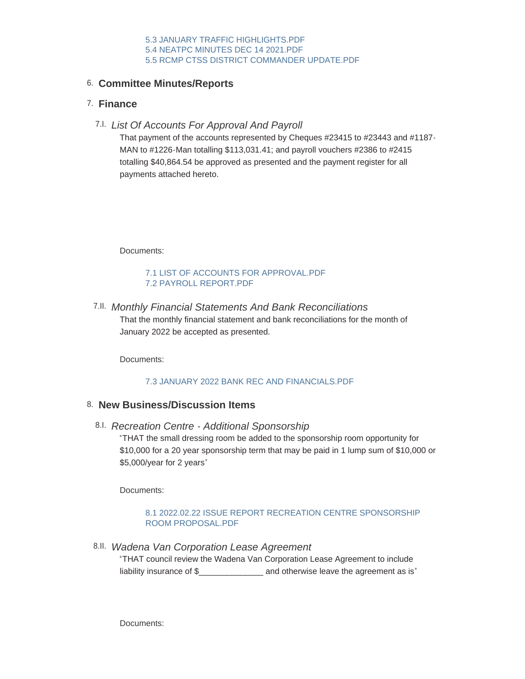# **Committee Minutes/Reports** 6.

## **Finance** 7.

*List Of Accounts For Approval And Payroll* 7.I.

That payment of the accounts represented by Cheques #23415 to #23443 and #1187- MAN to #1226-Man totalling \$113,031.41; and payroll vouchers #2386 to #2415 totalling \$40,864.54 be approved as presented and the payment register for all payments attached hereto.

Documents:

### [7.1 LIST OF ACCOUNTS FOR APPROVAL.PDF](http://townofwadena.com/AgendaCenter/ViewFile/Item/3375?fileID=4061) [7.2 PAYROLL REPORT.PDF](http://townofwadena.com/AgendaCenter/ViewFile/Item/3375?fileID=4062)

*Monthly Financial Statements And Bank Reconciliations* 7.II. That the monthly financial statement and bank reconciliations for the month of January 2022 be accepted as presented.

Documents:

## [7.3 JANUARY 2022 BANK REC AND FINANCIALS.PDF](http://townofwadena.com/AgendaCenter/ViewFile/Item/3376?fileID=4064)

## **New Business/Discussion Items** 8.

*Recreation Centre - Additional Sponsorship* 8.I.

"THAT the small dressing room be added to the sponsorship room opportunity for \$10,000 for a 20 year sponsorship term that may be paid in 1 lump sum of \$10,000 or \$5,000/year for 2 years"

Documents:

### [8.1 2022.02.22 ISSUE REPORT RECREATION CENTRE SPONSORSHIP](http://townofwadena.com/AgendaCenter/ViewFile/Item/3392?fileID=4049)  ROOM PROPOSAL.PDF

*Wadena Van Corporation Lease Agreement* 8.II.

"THAT council review the Wadena Van Corporation Lease Agreement to include liability insurance of \$ and otherwise leave the agreement as is"

Documents: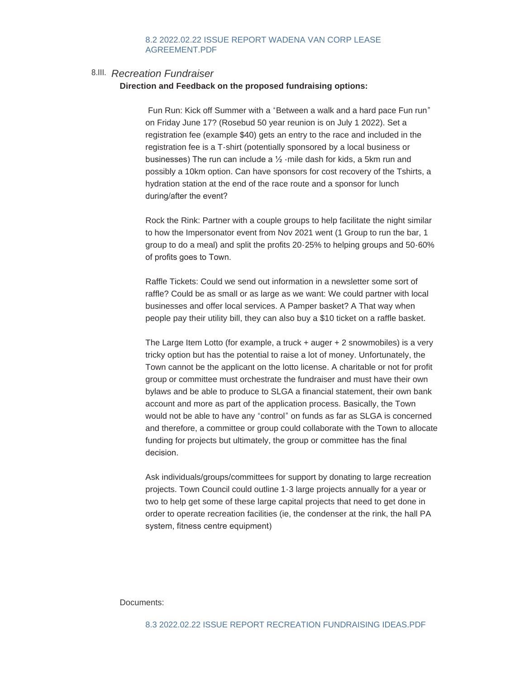### [8.2 2022.02.22 ISSUE REPORT WADENA VAN CORP LEASE](http://townofwadena.com/AgendaCenter/ViewFile/Item/3382?fileID=4050)  AGREEMENT.PDF

## *Recreation Fundraiser* 8.III.

#### **Direction and Feedback on the proposed fundraising options:**

Fun Run: Kick off Summer with a "Between a walk and a hard pace Fun run" on Friday June 17? (Rosebud 50 year reunion is on July 1 2022). Set a registration fee (example \$40) gets an entry to the race and included in the registration fee is a T-shirt (potentially sponsored by a local business or businesses) The run can include a ½ -mile dash for kids, a 5km run and possibly a 10km option. Can have sponsors for cost recovery of the Tshirts, a hydration station at the end of the race route and a sponsor for lunch during/after the event?

Rock the Rink: Partner with a couple groups to help facilitate the night similar to how the Impersonator event from Nov 2021 went (1 Group to run the bar, 1 group to do a meal) and split the profits 20-25% to helping groups and 50-60% of profits goes to Town.

Raffle Tickets: Could we send out information in a newsletter some sort of raffle? Could be as small or as large as we want: We could partner with local businesses and offer local services. A Pamper basket? A That way when people pay their utility bill, they can also buy a \$10 ticket on a raffle basket.

The Large Item Lotto (for example, a truck + auger + 2 snowmobiles) is a very tricky option but has the potential to raise a lot of money. Unfortunately, the Town cannot be the applicant on the lotto license. A charitable or not for profit group or committee must orchestrate the fundraiser and must have their own bylaws and be able to produce to SLGA a financial statement, their own bank account and more as part of the application process. Basically, the Town would not be able to have any "control" on funds as far as SLGA is concerned and therefore, a committee or group could collaborate with the Town to allocate funding for projects but ultimately, the group or committee has the final decision.

Ask individuals/groups/committees for support by donating to large recreation projects. Town Council could outline 1-3 large projects annually for a year or two to help get some of these large capital projects that need to get done in order to operate recreation facilities (ie, the condenser at the rink, the hall PA system, fitness centre equipment)

#### Documents: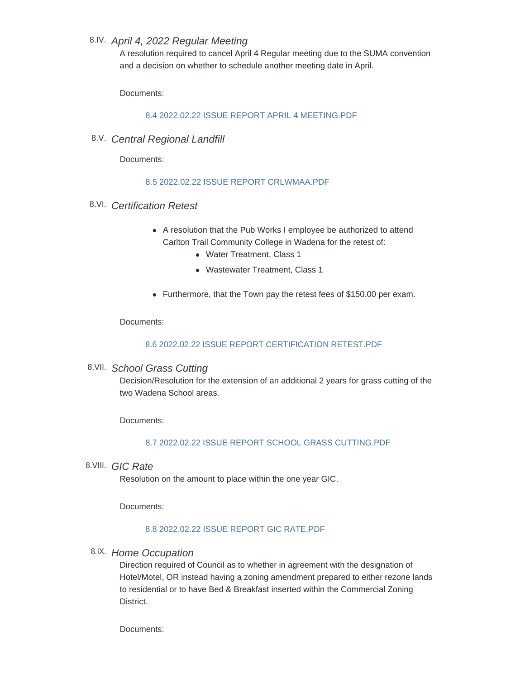# *April 4, 2022 Regular Meeting* 8.IV.

A resolution required to cancel April 4 Regular meeting due to the SUMA convention and a decision on whether to schedule another meeting date in April.

Documents:

## [8.4 2022.02.22 ISSUE REPORT APRIL 4 MEETING.PDF](http://townofwadena.com/AgendaCenter/ViewFile/Item/3383?fileID=4057)

*Central Regional Landfill* 8.V.

Documents:

## [8.5 2022.02.22 ISSUE REPORT CRLWMAA.PDF](http://townofwadena.com/AgendaCenter/ViewFile/Item/3378?fileID=4058)

- *Certification Retest* 8.VI.
	- A resolution that the Pub Works I employee be authorized to attend Carlton Trail Community College in Wadena for the retest of:
		- Water Treatment, Class 1
		- Wastewater Treatment, Class 1
	- Furthermore, that the Town pay the retest fees of \$150.00 per exam.

Documents:

## [8.6 2022.02.22 ISSUE REPORT CERTIFICATION RETEST.PDF](http://townofwadena.com/AgendaCenter/ViewFile/Item/3391?fileID=4063)

*School Grass Cutting* 8.VII.

Decision/Resolution for the extension of an additional 2 years for grass cutting of the two Wadena School areas.

Documents:

### [8.7 2022.02.22 ISSUE REPORT SCHOOL GRASS CUTTING.PDF](http://townofwadena.com/AgendaCenter/ViewFile/Item/3384?fileID=4065)

*GIC Rate* 8.VIII.

Resolution on the amount to place within the one year GIC.

Documents:

## [8.8 2022.02.22 ISSUE REPORT GIC RATE.PDF](http://townofwadena.com/AgendaCenter/ViewFile/Item/3388?fileID=4066)

*Home Occupation* 8.IX.

Direction required of Council as to whether in agreement with the designation of Hotel/Motel, OR instead having a zoning amendment prepared to either rezone lands to residential or to have Bed & Breakfast inserted within the Commercial Zoning **District.** 

Documents: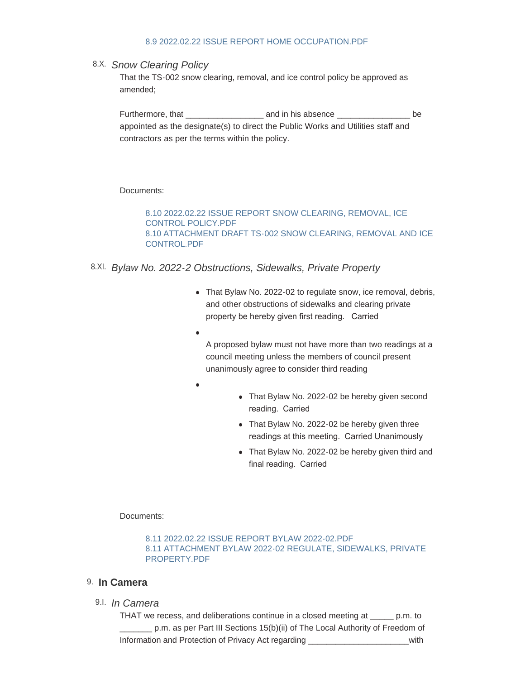#### [8.9 2022.02.22 ISSUE REPORT HOME OCCUPATION.PDF](http://townofwadena.com/AgendaCenter/ViewFile/Item/3387?fileID=4067)

## *Snow Clearing Policy* 8.X.

That the TS-002 snow clearing, removal, and ice control policy be approved as amended;

Furthermore, that The Lattermore and in his absence that  $\Box$ appointed as the designate(s) to direct the Public Works and Utilities staff and contractors as per the terms within the policy.

Documents:

[8.10 2022.02.22 ISSUE REPORT SNOW CLEARING, REMOVAL, ICE](http://townofwadena.com/AgendaCenter/ViewFile/Item/3379?fileID=4068)  CONTROL POLICY.PDF [8.10 ATTACHMENT DRAFT TS-002 SNOW CLEARING, REMOVAL AND ICE](http://townofwadena.com/AgendaCenter/ViewFile/Item/3379?fileID=4069)  CONTROL.PDF

- *Bylaw No. 2022-2 Obstructions, Sidewalks, Private Property* 8.XI.
	- That Bylaw No. 2022-02 to regulate snow, ice removal, debris, and other obstructions of sidewalks and clearing private property be hereby given first reading. Carried
	- $\bullet$

A proposed bylaw must not have more than two readings at a council meeting unless the members of council present unanimously agree to consider third reading

- $\bullet$
- That Bylaw No. 2022-02 be hereby given second reading. Carried
- That Bylaw No. 2022-02 be hereby given three readings at this meeting. Carried Unanimously
- That Bylaw No. 2022-02 be hereby given third and final reading. Carried

Documents:

[8.11 2022.02.22 ISSUE REPORT BYLAW 2022-02.PDF](http://townofwadena.com/AgendaCenter/ViewFile/Item/3386?fileID=4070) [8.11 ATTACHMENT BYLAW 2022-02 REGULATE, SIDEWALKS, PRIVATE](http://townofwadena.com/AgendaCenter/ViewFile/Item/3386?fileID=4071)  PROPERTY.PDF

### 9. In Camera

*In Camera* 9.I.

THAT we recess, and deliberations continue in a closed meeting at \_\_\_\_\_ p.m. to \_\_\_\_\_\_\_ p.m. as per Part III Sections 15(b)(ii) of The Local Authority of Freedom of Information and Protection of Privacy Act regarding \_\_\_\_\_\_\_\_\_\_\_\_\_\_\_\_\_\_\_\_\_\_with